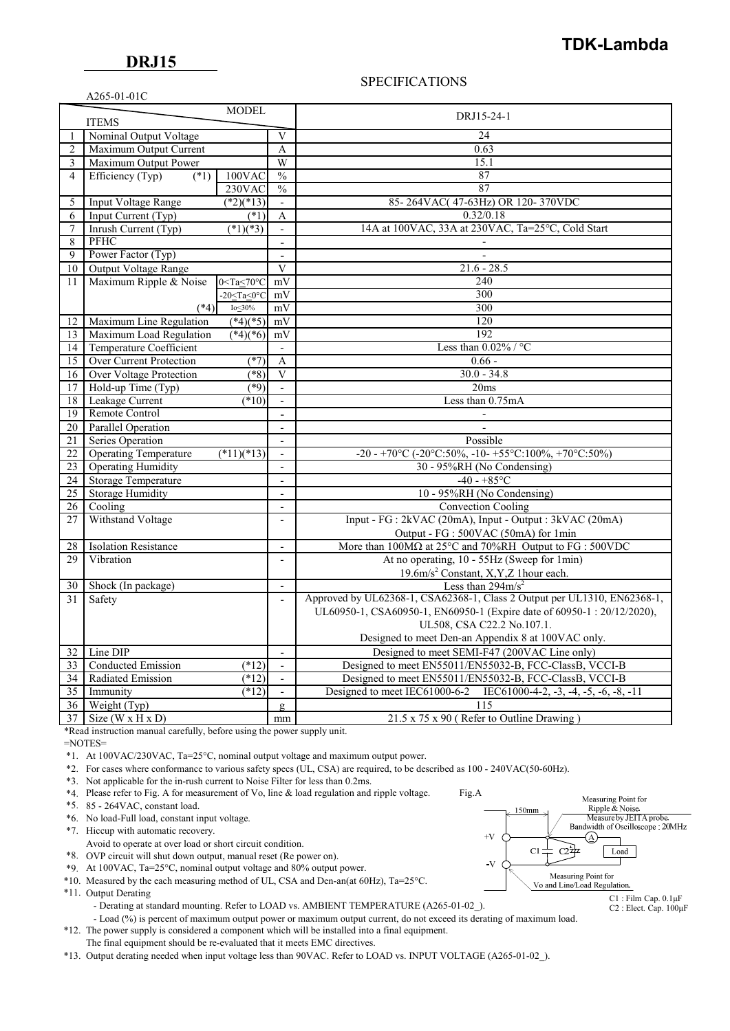# **TDK-Lambda**

### SPECIFICATIONS

| $A265-01-01C$ |  |
|---------------|--|
|               |  |

|                |                                | <b>MODEL</b>                 |                           |                                                                                                                   |  |
|----------------|--------------------------------|------------------------------|---------------------------|-------------------------------------------------------------------------------------------------------------------|--|
| <b>ITEMS</b>   |                                |                              | DRJ15-24-1                |                                                                                                                   |  |
| 1              | Nominal Output Voltage         |                              | V                         | 24                                                                                                                |  |
| $\overline{2}$ | Maximum Output Current         |                              | A                         | 0.63                                                                                                              |  |
| 3              | Maximum Output Power           |                              | W                         | 15.1                                                                                                              |  |
| 4              | Efficiency (Typ)<br>$(*1)$     | 100VAC                       | $\overline{\frac{0}{0}}$  | 87                                                                                                                |  |
|                |                                | 230VAC                       | $\frac{0}{0}$             | 87                                                                                                                |  |
| 5              | <b>Input Voltage Range</b>     | $(*2)(*13)$                  | $\mathbf{r}$              | 85-264VAC(47-63Hz) OR 120-370VDC                                                                                  |  |
| 6              | Input Current $(Typ)$          | (1)                          | A                         | 0.32/0.18                                                                                                         |  |
| 7              | Inrush Current (Typ)           | $\sqrt{(*1)(*3)}$            | $\blacksquare$            | 14A at 100VAC, 33A at 230VAC, Ta=25°C, Cold Start                                                                 |  |
| $\,$ 8 $\,$    | PFHC                           |                              | $\sim$                    |                                                                                                                   |  |
| 9              | Power Factor (Typ)             |                              | $\mathbf{r}$              | $\overline{a}$                                                                                                    |  |
| 10             | Output Voltage Range           |                              | $\mathbf{V}$              | $21.6 - 28.5$                                                                                                     |  |
| 11             | Maximum Ripple & Noise         | $0 <$ Ta $\leq 70$ °C        | mV                        | 240                                                                                                               |  |
|                |                                | $-20 <$ Ta $<$ 0 $\degree$ C | mV                        | 300                                                                                                               |  |
|                | $(*4)$                         | Io $\leq$ 30%                | mV                        | 300                                                                                                               |  |
| 12             | Maximum Line Regulation        | $(*4)(*5)$                   | mV                        | 120                                                                                                               |  |
| 13             | Maximum Load Regulation        | $(*4)(*6)$                   | mV                        | 192                                                                                                               |  |
| 14             | Temperature Coefficient        |                              | $\sim$                    | Less than $0.02\%$ / °C                                                                                           |  |
| 15             | <b>Over Current Protection</b> | $(*7)$                       | $\boldsymbol{\mathsf{A}}$ | $0.66 -$                                                                                                          |  |
| 16             | <b>Over Voltage Protection</b> | $(*8)$                       | V                         | $30.0 - 34.8$                                                                                                     |  |
| 17             | Hold-up Time (Typ)             | (89)                         | $\overline{\phantom{a}}$  | 20ms                                                                                                              |  |
| 18             | Leakage Current                | $(*10)$                      | $\overline{\phantom{a}}$  | Less than 0.75mA                                                                                                  |  |
| 19             | Remote Control                 |                              | $\overline{a}$            |                                                                                                                   |  |
| 20             | <b>Parallel Operation</b>      |                              | $\overline{a}$            |                                                                                                                   |  |
| 21             | Series Operation               |                              | $\Box$                    | Possible                                                                                                          |  |
| 22             | <b>Operating Temperature</b>   | $(*11)(*13)$                 | $\overline{\phantom{a}}$  | -20 - +70°C (-20°C:50%, -10 - +55°C:100%, +70°C:50%)                                                              |  |
| 23             | <b>Operating Humidity</b>      |                              | $\overline{a}$            | 30 - 95%RH (No Condensing)                                                                                        |  |
| 24             | Storage Temperature            |                              | $\mathbf{r}$              | $-40 - +85$ °C                                                                                                    |  |
| 25             | <b>Storage Humidity</b>        |                              | $\overline{a}$            | 10 - 95%RH (No Condensing)                                                                                        |  |
| 26             | Cooling                        |                              | $\mathbf{r}$              | <b>Convection Cooling</b>                                                                                         |  |
| 27             | Withstand Voltage              |                              | $\overline{\phantom{a}}$  | Input - FG : 2kVAC (20mA), Input - Output : 3kVAC (20mA)                                                          |  |
|                |                                |                              |                           | Output - FG : 500VAC (50mA) for 1min                                                                              |  |
| 28             | <b>Isolation Resistance</b>    |                              | $\overline{\phantom{a}}$  | More than $100\overline{\mathrm{M}\Omega}$ at $25^{\circ}\mathrm{C}$ and $70\% \mathrm{RH}$ Output to FG : 500VDC |  |
| 29             | Vibration                      |                              | $\overline{\phantom{a}}$  | At no operating, 10 - 55Hz (Sweep for 1min)                                                                       |  |
|                |                                |                              |                           | 19.6m/s <sup>2</sup> Constant, X,Y,Z 1hour each.                                                                  |  |
| 30             | Shock (In package)             |                              | $\mathbf{r}$              | Less than $294 \text{m/s}^2$                                                                                      |  |
| 31             | Safety                         |                              | $\overline{\phantom{a}}$  | Approved by UL62368-1, CSA62368-1, Class 2 Output per UL1310, EN62368-1,                                          |  |
|                |                                |                              |                           | UL60950-1, CSA60950-1, EN60950-1 (Expire date of 60950-1: 20/12/2020),                                            |  |
|                |                                |                              |                           | UL508, CSA C22.2 No.107.1.                                                                                        |  |
|                |                                |                              |                           | Designed to meet Den-an Appendix 8 at 100VAC only.                                                                |  |
| 32             | Line DIP                       |                              | $\overline{a}$            | Designed to meet SEMI-F47 (200VAC Line only)                                                                      |  |
| 33             | Conducted Emission             | $(*12)$                      | $\Box$                    | Designed to meet EN55011/EN55032-B, FCC-ClassB, VCCI-B                                                            |  |
| 34             | Radiated Emission              | $(*12)$                      | $\sim$                    | Designed to meet EN55011/EN55032-B, FCC-ClassB, VCCI-B                                                            |  |
| 35             | Immunity                       | $(*12)$                      | $\overline{\phantom{a}}$  | Designed to meet IEC61000-6-2<br>IEC61000-4-2, $-3$ , $-4$ , $-5$ , $-6$ , $-8$ , $-11$                           |  |
| 36             | Weight (Typ)                   |                              | $\mathbf{g}$              | 115                                                                                                               |  |
| 37             | Size $(W \times H \times D)$   |                              | mm                        | 21.5 x 75 x 90 (Refer to Outline Drawing)                                                                         |  |

\*Read instruction manual carefully, before using the power supply unit.

=NOTES=

\*1. At 100VAC/230VAC, Ta=25°C, nominal output voltage and maximum output power.

\*2. For cases where conformance to various safety specs (UL, CSA) are required, to be described as 100 - 240VAC(50-60Hz).

\*3. Not applicable for the in-rush current to Noise Filter for less than 0.2ms.

\*4. Please refer to Fig. A for measurement of Vo, line & load regulation and ripple voltage. Fig.A

\*5. 85 - 264VAC, constant load.

\*6. No load-Full load, constant input voltage.

\*7. Hiccup with automatic recovery.

Avoid to operate at over load or short circuit condition.

\*8. OVP circuit will shut down output, manual reset (Re power on).

\*9. At 100VAC, Ta=25°C, nominal output voltage and 80% output power.

\*10. Measured by the each measuring method of UL, CSA and Den-an(at 60Hz), Ta=25°C.

\*11. Output Derating

- Derating at standard mounting. Refer to LOAD vs. AMBIENT TEMPERATURE (A265-01-02).

- Load (%) is percent of maximum output power or maximum output current, do not exceed its derating of maximum load.

 \*12. The power supply is considered a component which will be installed into a final equipment. The final equipment should be re-evaluated that it meets EMC directives.

\*13. Output derating needed when input voltage less than 90VAC. Refer to LOAD vs. INPUT VOLTAGE (A265-01-02\_).



C2 : Elect. Cap. 100μF